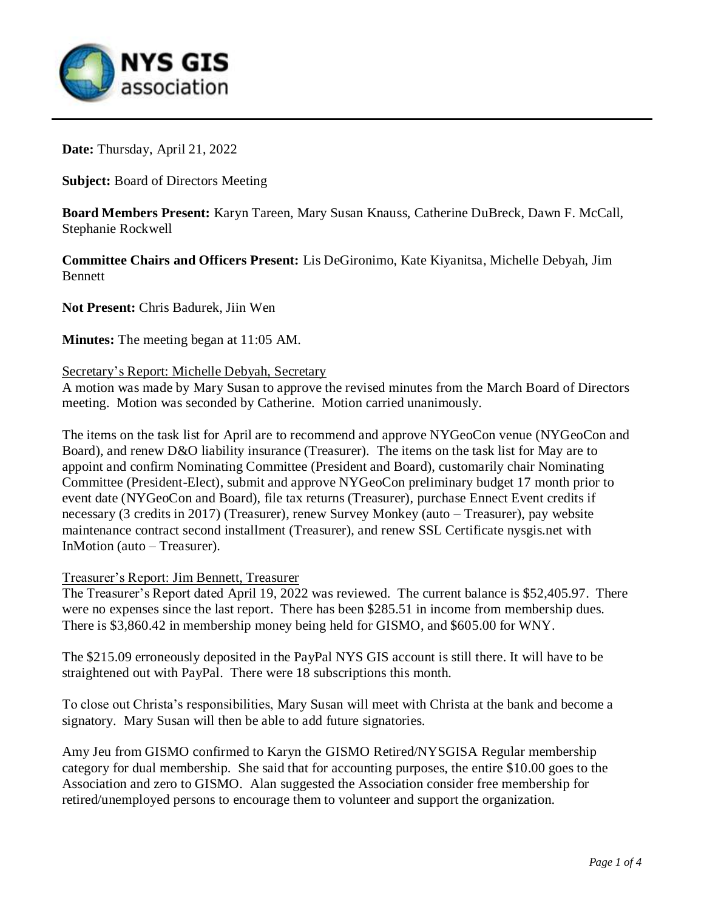

**Date:** Thursday, April 21, 2022

**Subject:** Board of Directors Meeting

**Board Members Present:** Karyn Tareen, Mary Susan Knauss, Catherine DuBreck, Dawn F. McCall, Stephanie Rockwell

**Committee Chairs and Officers Present:** Lis DeGironimo, Kate Kiyanitsa, Michelle Debyah, Jim Bennett

**Not Present:** Chris Badurek, Jiin Wen

**Minutes:** The meeting began at 11:05 AM.

### Secretary's Report: Michelle Debyah, Secretary

A motion was made by Mary Susan to approve the revised minutes from the March Board of Directors meeting. Motion was seconded by Catherine. Motion carried unanimously.

The items on the task list for April are to recommend and approve NYGeoCon venue (NYGeoCon and Board), and renew D&O liability insurance (Treasurer). The items on the task list for May are to appoint and confirm Nominating Committee (President and Board), customarily chair Nominating Committee (President-Elect), submit and approve NYGeoCon preliminary budget 17 month prior to event date (NYGeoCon and Board), file tax returns (Treasurer), purchase Ennect Event credits if necessary (3 credits in 2017) (Treasurer), renew Survey Monkey (auto – Treasurer), pay website maintenance contract second installment (Treasurer), and renew SSL Certificate nysgis.net with InMotion (auto – Treasurer).

## Treasurer's Report: Jim Bennett, Treasurer

The Treasurer's Report dated April 19, 2022 was reviewed. The current balance is \$52,405.97. There were no expenses since the last report. There has been \$285.51 in income from membership dues. There is \$3,860.42 in membership money being held for GISMO, and \$605.00 for WNY.

The \$215.09 erroneously deposited in the PayPal NYS GIS account is still there. It will have to be straightened out with PayPal. There were 18 subscriptions this month.

To close out Christa's responsibilities, Mary Susan will meet with Christa at the bank and become a signatory. Mary Susan will then be able to add future signatories.

Amy Jeu from GISMO confirmed to Karyn the GISMO Retired/NYSGISA Regular membership category for dual membership. She said that for accounting purposes, the entire \$10.00 goes to the Association and zero to GISMO. Alan suggested the Association consider free membership for retired/unemployed persons to encourage them to volunteer and support the organization.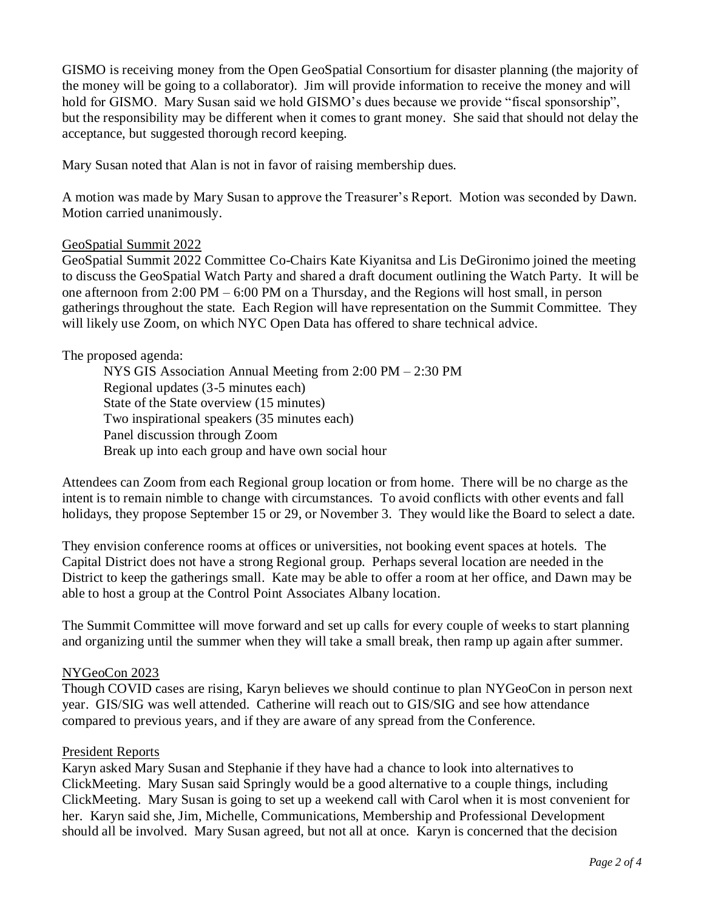GISMO is receiving money from the Open GeoSpatial Consortium for disaster planning (the majority of the money will be going to a collaborator). Jim will provide information to receive the money and will hold for GISMO. Mary Susan said we hold GISMO's dues because we provide "fiscal sponsorship", but the responsibility may be different when it comes to grant money. She said that should not delay the acceptance, but suggested thorough record keeping.

Mary Susan noted that Alan is not in favor of raising membership dues.

A motion was made by Mary Susan to approve the Treasurer's Report. Motion was seconded by Dawn. Motion carried unanimously.

## GeoSpatial Summit 2022

GeoSpatial Summit 2022 Committee Co-Chairs Kate Kiyanitsa and Lis DeGironimo joined the meeting to discuss the GeoSpatial Watch Party and shared a draft document outlining the Watch Party. It will be one afternoon from 2:00 PM – 6:00 PM on a Thursday, and the Regions will host small, in person gatherings throughout the state. Each Region will have representation on the Summit Committee. They will likely use Zoom, on which NYC Open Data has offered to share technical advice.

## The proposed agenda:

NYS GIS Association Annual Meeting from 2:00 PM – 2:30 PM Regional updates (3-5 minutes each) State of the State overview (15 minutes) Two inspirational speakers (35 minutes each) Panel discussion through Zoom Break up into each group and have own social hour

Attendees can Zoom from each Regional group location or from home. There will be no charge as the intent is to remain nimble to change with circumstances. To avoid conflicts with other events and fall holidays, they propose September 15 or 29, or November 3. They would like the Board to select a date.

They envision conference rooms at offices or universities, not booking event spaces at hotels. The Capital District does not have a strong Regional group. Perhaps several location are needed in the District to keep the gatherings small. Kate may be able to offer a room at her office, and Dawn may be able to host a group at the Control Point Associates Albany location.

The Summit Committee will move forward and set up calls for every couple of weeks to start planning and organizing until the summer when they will take a small break, then ramp up again after summer.

## NYGeoCon 2023

Though COVID cases are rising, Karyn believes we should continue to plan NYGeoCon in person next year. GIS/SIG was well attended. Catherine will reach out to GIS/SIG and see how attendance compared to previous years, and if they are aware of any spread from the Conference.

## President Reports

Karyn asked Mary Susan and Stephanie if they have had a chance to look into alternatives to ClickMeeting. Mary Susan said Springly would be a good alternative to a couple things, including ClickMeeting. Mary Susan is going to set up a weekend call with Carol when it is most convenient for her. Karyn said she, Jim, Michelle, Communications, Membership and Professional Development should all be involved. Mary Susan agreed, but not all at once. Karyn is concerned that the decision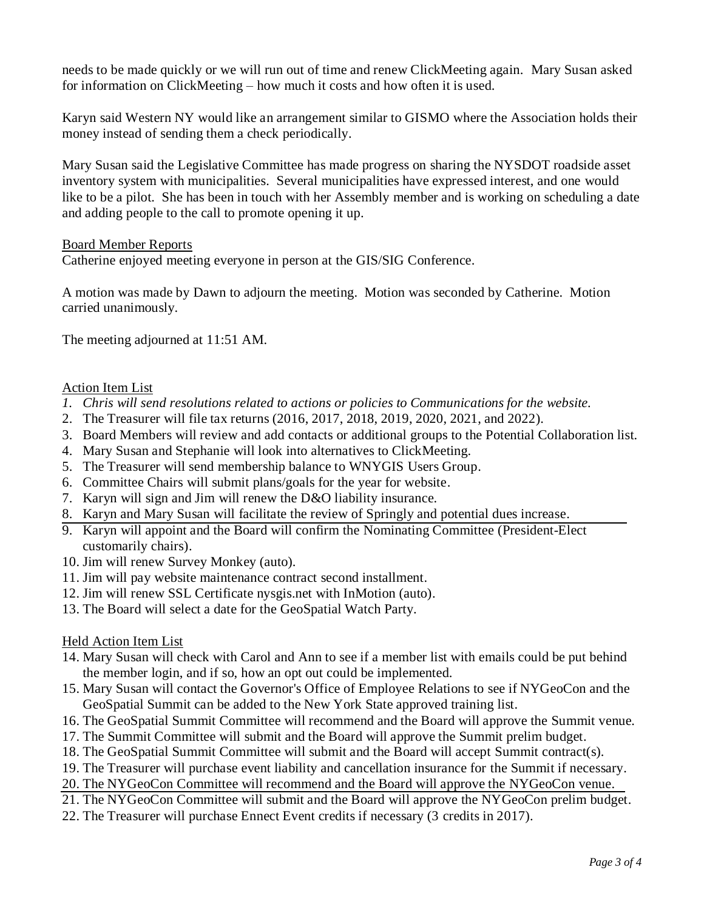needs to be made quickly or we will run out of time and renew ClickMeeting again. Mary Susan asked for information on ClickMeeting – how much it costs and how often it is used.

Karyn said Western NY would like an arrangement similar to GISMO where the Association holds their money instead of sending them a check periodically.

Mary Susan said the Legislative Committee has made progress on sharing the NYSDOT roadside asset inventory system with municipalities. Several municipalities have expressed interest, and one would like to be a pilot. She has been in touch with her Assembly member and is working on scheduling a date and adding people to the call to promote opening it up.

## Board Member Reports

Catherine enjoyed meeting everyone in person at the GIS/SIG Conference.

A motion was made by Dawn to adjourn the meeting. Motion was seconded by Catherine. Motion carried unanimously.

The meeting adjourned at 11:51 AM.

## Action Item List

- *1. Chris will send resolutions related to actions or policies to Communications for the website.*
- 2. The Treasurer will file tax returns (2016, 2017, 2018, 2019, 2020, 2021, and 2022).
- 3. Board Members will review and add contacts or additional groups to the Potential Collaboration list.
- 4. Mary Susan and Stephanie will look into alternatives to ClickMeeting.
- 5. The Treasurer will send membership balance to WNYGIS Users Group.
- 6. Committee Chairs will submit plans/goals for the year for website.
- 7. Karyn will sign and Jim will renew the D&O liability insurance.
- 8. Karyn and Mary Susan will facilitate the review of Springly and potential dues increase.
- 9. Karyn will appoint and the Board will confirm the Nominating Committee (President-Elect customarily chairs).
- 10. Jim will renew Survey Monkey (auto).
- 11. Jim will pay website maintenance contract second installment.
- 12. Jim will renew SSL Certificate nysgis.net with InMotion (auto).
- 13. The Board will select a date for the GeoSpatial Watch Party.

## Held Action Item List

- 14. Mary Susan will check with Carol and Ann to see if a member list with emails could be put behind the member login, and if so, how an opt out could be implemented.
- 15. Mary Susan will contact the Governor's Office of Employee Relations to see if NYGeoCon and the GeoSpatial Summit can be added to the New York State approved training list.
- 16. The GeoSpatial Summit Committee will recommend and the Board will approve the Summit venue.
- 17. The Summit Committee will submit and the Board will approve the Summit prelim budget.
- 18. The GeoSpatial Summit Committee will submit and the Board will accept Summit contract(s).
- 19. The Treasurer will purchase event liability and cancellation insurance for the Summit if necessary.

20. The NYGeoCon Committee will recommend and the Board will approve the NYGeoCon venue.

- 21. The NYGeoCon Committee will submit and the Board will approve the NYGeoCon prelim budget.
- 22. The Treasurer will purchase Ennect Event credits if necessary (3 credits in 2017).